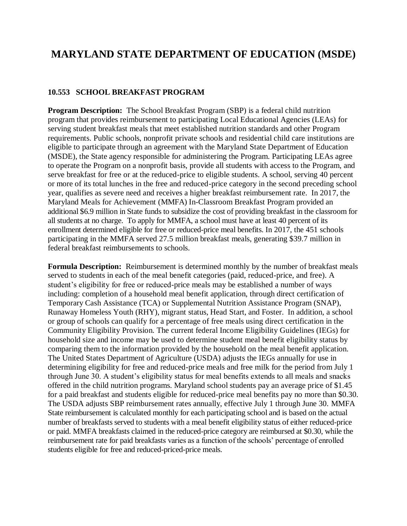# **MARYLAND STATE DEPARTMENT OF EDUCATION (MSDE)**

#### **10.553 SCHOOL BREAKFAST PROGRAM**

**Program Description:** The School Breakfast Program (SBP) is a federal child nutrition program that provides reimbursement to participating Local Educational Agencies (LEAs) for serving student breakfast meals that meet established nutrition standards and other Program requirements. Public schools, nonprofit private schools and residential child care institutions are eligible to participate through an agreement with the Maryland State Department of Education (MSDE), the State agency responsible for administering the Program. Participating LEAs agree to operate the Program on a nonprofit basis, provide all students with access to the Program, and serve breakfast for free or at the reduced-price to eligible students. A school, serving 40 percent or more of its total lunches in the free and reduced-price category in the second preceding school year, qualifies as severe need and receives a higher breakfast reimbursement rate. In 2017, the Maryland Meals for Achievement (MMFA) In-Classroom Breakfast Program provided an additional \$6.9 million in State funds to subsidize the cost of providing breakfast in the classroom for all students at no charge. To apply for MMFA, a school must have at least 40 percent of its enrollment determined eligible for free or reduced-price meal benefits. In 2017, the 451 schools participating in the MMFA served 27.5 million breakfast meals, generating \$39.7 million in federal breakfast reimbursements to schools.

**Formula Description:** Reimbursement is determined monthly by the number of breakfast meals served to students in each of the meal benefit categories (paid, reduced-price, and free). A student's eligibility for free or reduced-price meals may be established a number of ways including: completion of a household meal benefit application, through direct certification of Temporary Cash Assistance (TCA) or Supplemental Nutrition Assistance Program (SNAP), Runaway Homeless Youth (RHY), migrant status, Head Start, and Foster. In addition, a school or group of schools can qualify for a percentage of free meals using direct certification in the Community Eligibility Provision. The current federal Income Eligibility Guidelines (IEGs) for household size and income may be used to determine student meal benefit eligibility status by comparing them to the information provided by the household on the meal benefit application. The United States Department of Agriculture (USDA) adjusts the IEGs annually for use in determining eligibility for free and reduced-price meals and free milk for the period from July 1 through June 30. A student's eligibility status for meal benefits extends to all meals and snacks offered in the child nutrition programs. Maryland school students pay an average price of \$1.45 for a paid breakfast and students eligible for reduced-price meal benefits pay no more than \$0.30. The USDA adjusts SBP reimbursement rates annually, effective July 1 through June 30. MMFA State reimbursement is calculated monthly for each participating school and is based on the actual number of breakfasts served to students with a meal benefit eligibility status of either reduced-price or paid. MMFA breakfasts claimed in the reduced-price category are reimbursed at \$0.30, while the reimbursement rate for paid breakfasts varies as a function of the schools' percentage of enrolled students eligible for free and reduced-priced-price meals.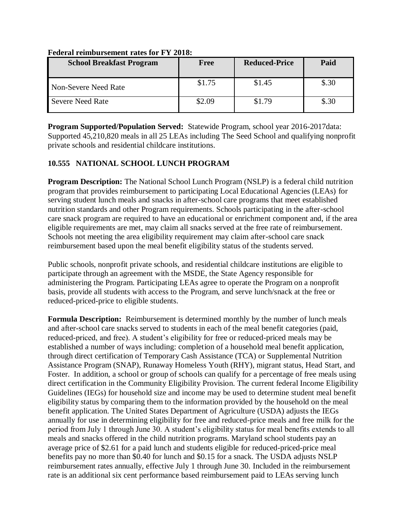| <b>School Breakfast Program</b> | Free   | <b>Reduced-Price</b> | Paid  |
|---------------------------------|--------|----------------------|-------|
| Non-Severe Need Rate            | \$1.75 | \$1.45               | \$.30 |
| Severe Need Rate                | \$2.09 | \$1.79               | \$.30 |

#### **Federal reimbursement rates for FY 2018:**

**Program Supported/Population Served:** Statewide Program, school year 2016-2017data: Supported 45,210,820 meals in all 25 LEAs including The Seed School and qualifying nonprofit private schools and residential childcare institutions.

### **10.555 NATIONAL SCHOOL LUNCH PROGRAM**

**Program Description:** The National School Lunch Program (NSLP) is a federal child nutrition program that provides reimbursement to participating Local Educational Agencies (LEAs) for serving student lunch meals and snacks in after-school care programs that meet established nutrition standards and other Program requirements. Schools participating in the after-school care snack program are required to have an educational or enrichment component and, if the area eligible requirements are met, may claim all snacks served at the free rate of reimbursement. Schools not meeting the area eligibility requirement may claim after-school care snack reimbursement based upon the meal benefit eligibility status of the students served.

Public schools, nonprofit private schools, and residential childcare institutions are eligible to participate through an agreement with the MSDE, the State Agency responsible for administering the Program. Participating LEAs agree to operate the Program on a nonprofit basis, provide all students with access to the Program, and serve lunch/snack at the free or reduced-priced-price to eligible students.

**Formula Description:** Reimbursement is determined monthly by the number of lunch meals and after-school care snacks served to students in each of the meal benefit categories (paid, reduced-priced, and free). A student's eligibility for free or reduced-priced meals may be established a number of ways including: completion of a household meal benefit application, through direct certification of Temporary Cash Assistance (TCA) or Supplemental Nutrition Assistance Program (SNAP), Runaway Homeless Youth (RHY), migrant status, Head Start, and Foster. In addition, a school or group of schools can qualify for a percentage of free meals using direct certification in the Community Eligibility Provision. The current federal Income Eligibility Guidelines (IEGs) for household size and income may be used to determine student meal benefit eligibility status by comparing them to the information provided by the household on the meal benefit application. The United States Department of Agriculture (USDA) adjusts the IEGs annually for use in determining eligibility for free and reduced-price meals and free milk for the period from July 1 through June 30. A student's eligibility status for meal benefits extends to all meals and snacks offered in the child nutrition programs. Maryland school students pay an average price of \$2.61 for a paid lunch and students eligible for reduced-priced-price meal benefits pay no more than \$0.40 for lunch and \$0.15 for a snack. The USDA adjusts NSLP reimbursement rates annually, effective July 1 through June 30. Included in the reimbursement rate is an additional six cent performance based reimbursement paid to LEAs serving lunch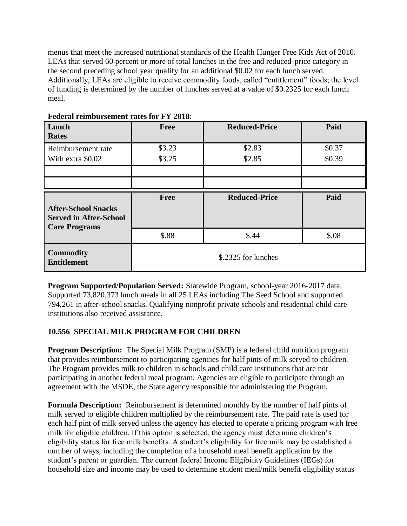menus that meet the increased nutritional standards of the Health Hunger Free Kids Act of 2010. LEAs that served 60 percent or more of total lunches in the free and reduced-price category in the second preceding school year qualify for an additional \$0.02 for each lunch served. Additionally, LEAs are eligible to receive commodity foods, called "entitlement" foods; the level of funding is determined by the number of lunches served at a value of \$0.2325 for each lunch meal.

| Lunch<br><b>Rates</b>                                                               | <b>Free</b>         | <b>Reduced-Price</b> | Paid   |
|-------------------------------------------------------------------------------------|---------------------|----------------------|--------|
| Reimbursement rate                                                                  | \$3.23              | \$2.83               | \$0.37 |
| With extra \$0.02                                                                   | \$3.25              | \$2.85               | \$0.39 |
|                                                                                     |                     |                      |        |
|                                                                                     |                     |                      |        |
| <b>After-School Snacks</b><br><b>Served in After-School</b><br><b>Care Programs</b> | <b>Free</b>         | <b>Reduced-Price</b> | Paid   |
|                                                                                     | \$.88               | \$.44                | \$.08  |
| <b>Commodity</b><br><b>Entitlement</b>                                              | \$.2325 for lunches |                      |        |

**Federal reimbursement rates for FY 2018**:

**Program Supported/Population Served:** Statewide Program, school-year 2016-2017 data: Supported 73,820,373 lunch meals in all 25 LEAs including The Seed School and supported 794,261 in after-school snacks. Qualifying nonprofit private schools and residential child care institutions also received assistance.

### **10.556 SPECIAL MILK PROGRAM FOR CHILDREN**

**Program Description:** The Special Milk Program (SMP) is a federal child nutrition program that provides reimbursement to participating agencies for half pints of milk served to children. The Program provides milk to children in schools and child care institutions that are not participating in another federal meal program. Agencies are eligible to participate through an agreement with the MSDE, the State agency responsible for administering the Program.

**Formula Description:** Reimbursement is determined monthly by the number of half pints of milk served to eligible children multiplied by the reimbursement rate. The paid rate is used for each half pint of milk served unless the agency has elected to operate a pricing program with free milk for eligible children. If this option is selected, the agency must determine children's eligibility status for free milk benefits. A student's eligibility for free milk may be established a number of ways, including the completion of a household meal benefit application by the student's parent or guardian. The current federal Income Eligibility Guidelines (IEGs) for household size and income may be used to determine student meal/milk benefit eligibility status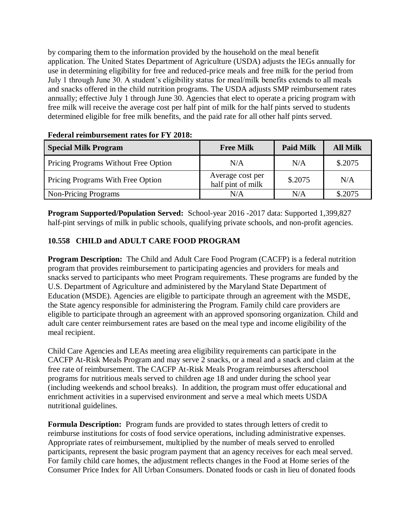by comparing them to the information provided by the household on the meal benefit application. The United States Department of Agriculture (USDA) adjusts the IEGs annually for use in determining eligibility for free and reduced-price meals and free milk for the period from July 1 through June 30. A student's eligibility status for meal/milk benefits extends to all meals and snacks offered in the child nutrition programs. The USDA adjusts SMP reimbursement rates annually; effective July 1 through June 30. Agencies that elect to operate a pricing program with free milk will receive the average cost per half pint of milk for the half pints served to students determined eligible for free milk benefits, and the paid rate for all other half pints served.

| <b>Special Milk Program</b>          | <b>Free Milk</b>                      | <b>Paid Milk</b> | <b>All Milk</b> |
|--------------------------------------|---------------------------------------|------------------|-----------------|
| Pricing Programs Without Free Option | N/A                                   | N/A              | \$.2075         |
| Pricing Programs With Free Option    | Average cost per<br>half pint of milk | \$.2075          | N/A             |
| Non-Pricing Programs                 | N/A                                   | N/A              | \$.2075         |

#### **Federal reimbursement rates for FY 2018:**

**Program Supported/Population Served:** School-year 2016 -2017 data: Supported 1,399,827 half-pint servings of milk in public schools, qualifying private schools, and non-profit agencies.

# **10.558 CHILD and ADULT CARE FOOD PROGRAM**

**Program Description:** The Child and Adult Care Food Program (CACFP) is a federal nutrition program that provides reimbursement to participating agencies and providers for meals and snacks served to participants who meet Program requirements. These programs are funded by the U.S. Department of Agriculture and administered by the Maryland State Department of Education (MSDE). Agencies are eligible to participate through an agreement with the MSDE, the State agency responsible for administering the Program. Family child care providers are eligible to participate through an agreement with an approved sponsoring organization. Child and adult care center reimbursement rates are based on the meal type and income eligibility of the meal recipient.

Child Care Agencies and LEAs meeting area eligibility requirements can participate in the CACFP At-Risk Meals Program and may serve 2 snacks, or a meal and a snack and claim at the free rate of reimbursement. The CACFP At-Risk Meals Program reimburses afterschool programs for nutritious meals served to children age 18 and under during the school year (including weekends and school breaks). In addition, the program must offer educational and enrichment activities in a supervised environment and serve a meal which meets USDA nutritional guidelines.

**Formula Description:** Program funds are provided to states through letters of credit to reimburse institutions for costs of food service operations, including administrative expenses. Appropriate rates of reimbursement, multiplied by the number of meals served to enrolled participants, represent the basic program payment that an agency receives for each meal served. For family child care homes, the adjustment reflects changes in the Food at Home series of the Consumer Price Index for All Urban Consumers. Donated foods or cash in lieu of donated foods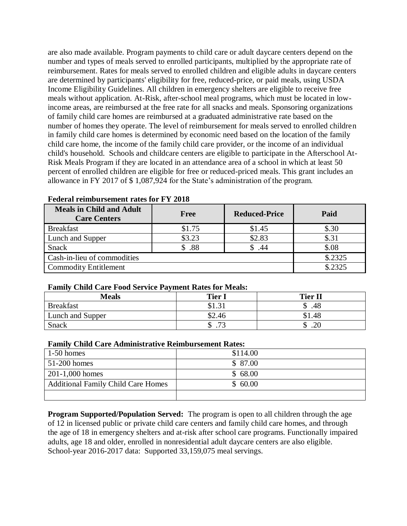are also made available. Program payments to child care or adult daycare centers depend on the number and types of meals served to enrolled participants, multiplied by the appropriate rate of reimbursement. Rates for meals served to enrolled children and eligible adults in daycare centers are determined by participants' eligibility for free, reduced-price, or paid meals, using USDA Income Eligibility Guidelines. All children in emergency shelters are eligible to receive free meals without application. At-Risk, after-school meal programs, which must be located in lowincome areas, are reimbursed at the free rate for all snacks and meals. Sponsoring organizations of family child care homes are reimbursed at a graduated administrative rate based on the number of homes they operate. The level of reimbursement for meals served to enrolled children in family child care homes is determined by economic need based on the location of the family child care home, the income of the family child care provider, or the income of an individual child's household. Schools and childcare centers are eligible to participate in the Afterschool At-Risk Meals Program if they are located in an attendance area of a school in which at least 50 percent of enrolled children are eligible for free or reduced-priced meals. This grant includes an allowance in FY 2017 of \$ 1,087,924 for the State's administration of the program.

| <b>Meals in Child and Adult</b><br><b>Care Centers</b> | <b>Free</b> | <b>Reduced-Price</b> | Paid    |
|--------------------------------------------------------|-------------|----------------------|---------|
| <b>Breakfast</b>                                       | \$1.75      | \$1.45               | \$.30   |
| Lunch and Supper                                       | \$3.23      | \$2.83               | \$.31   |
| <b>Snack</b>                                           | \$.88       | .44                  | \$.08   |
| Cash-in-lieu of commodities                            |             |                      | \$.2325 |
| <b>Commodity Entitlement</b>                           |             |                      | \$.2325 |

#### **Federal reimbursement rates for FY 2018**

#### **Family Child Care Food Service Payment Rates for Meals:**

| <b>Meals</b>     | <b>Tier I</b> | <b>Tier II</b> |
|------------------|---------------|----------------|
| <b>Breakfast</b> | \$1.31        | .48            |
| Lunch and Supper | \$2.46        | 0.48           |
| Snack            | 72<br>╜       | .∠J<br>◡       |

#### **Family Child Care Administrative Reimbursement Rates:**

| $1-50$ homes                              | \$114.00 |
|-------------------------------------------|----------|
| $51-200$ homes                            | \$ 87.00 |
| $201-1,000$ homes                         | \$68.00  |
| <b>Additional Family Child Care Homes</b> | \$60.00  |
|                                           |          |

**Program Supported/Population Served:** The program is open to all children through the age of 12 in licensed public or private child care centers and family child care homes, and through the age of 18 in emergency shelters and at-risk after school care programs. Functionally impaired adults, age 18 and older, enrolled in nonresidential adult daycare centers are also eligible. School-year 2016-2017 data: Supported 33,159,075 meal servings.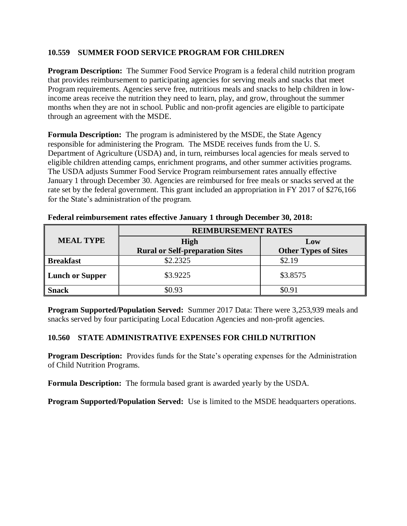#### **10.559 SUMMER FOOD SERVICE PROGRAM FOR CHILDREN**

**Program Description:** The Summer Food Service Program is a federal child nutrition program that provides reimbursement to participating agencies for serving meals and snacks that meet Program requirements. Agencies serve free, nutritious meals and snacks to help children in lowincome areas receive the nutrition they need to learn, play, and grow, throughout the summer months when they are not in school. Public and non-profit agencies are eligible to participate through an agreement with the MSDE.

**Formula Description:** The program is administered by the MSDE, the State Agency responsible for administering the Program. The MSDE receives funds from the U. S. Department of Agriculture (USDA) and, in turn, reimburses local agencies for meals served to eligible children attending camps, enrichment programs, and other summer activities programs. The USDA adjusts Summer Food Service Program reimbursement rates annually effective January 1 through December 30. Agencies are reimbursed for free meals or snacks served at the rate set by the federal government. This grant included an appropriation in FY 2017 of \$276,166 for the State's administration of the program.

|                        | <b>REIMBURSEMENT RATES</b>                            |                                    |  |
|------------------------|-------------------------------------------------------|------------------------------------|--|
| <b>MEAL TYPE</b>       | <b>High</b><br><b>Rural or Self-preparation Sites</b> | Low<br><b>Other Types of Sites</b> |  |
| <b>Breakfast</b>       | \$2.2325                                              | \$2.19                             |  |
| <b>Lunch or Supper</b> | \$3.9225                                              | \$3.8575                           |  |
| <b>Snack</b>           | \$0.93                                                | \$0.91                             |  |

**Federal reimbursement rates effective January 1 through December 30, 2018:** 

**Program Supported/Population Served:** Summer 2017 Data: There were 3,253,939 meals and snacks served by four participating Local Education Agencies and non-profit agencies.

#### **10.560 STATE ADMINISTRATIVE EXPENSES FOR CHILD NUTRITION**

**Program Description:** Provides funds for the State's operating expenses for the Administration of Child Nutrition Programs.

**Formula Description:** The formula based grant is awarded yearly by the USDA.

**Program Supported/Population Served:** Use is limited to the MSDE headquarters operations.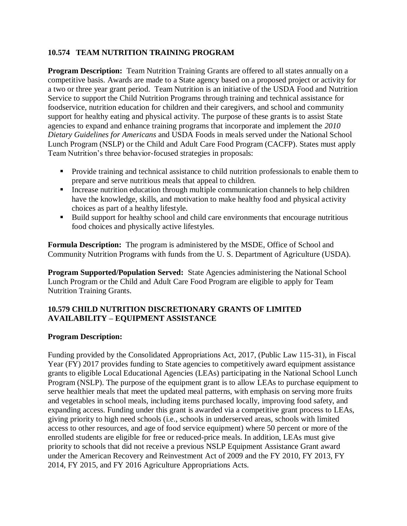#### **10.574 TEAM NUTRITION TRAINING PROGRAM**

**Program Description:** Team Nutrition Training Grants are offered to all states annually on a competitive basis. Awards are made to a State agency based on a proposed project or activity for a two or three year grant period. Team Nutrition is an initiative of the USDA Food and Nutrition Service to support the Child Nutrition Programs through training and technical assistance for foodservice, nutrition education for children and their caregivers, and school and community support for healthy eating and physical activity. The purpose of these grants is to assist State agencies to expand and enhance training programs that incorporate and implement the *2010 Dietary Guidelines for Americans* and USDA Foods in meals served under the National School Lunch Program (NSLP) or the Child and Adult Care Food Program (CACFP). States must apply Team Nutrition's three behavior-focused strategies in proposals:

- **Provide training and technical assistance to child nutrition professionals to enable them to** prepare and serve nutritious meals that appeal to children.
- Increase nutrition education through multiple communication channels to help children have the knowledge, skills, and motivation to make healthy food and physical activity choices as part of a healthy lifestyle.
- Build support for healthy school and child care environments that encourage nutritious food choices and physically active lifestyles.

**Formula Description:** The program is administered by the MSDE, Office of School and Community Nutrition Programs with funds from the U. S. Department of Agriculture (USDA).

**Program Supported/Population Served:** State Agencies administering the National School Lunch Program or the Child and Adult Care Food Program are eligible to apply for Team Nutrition Training Grants.

#### **10.579 CHILD NUTRITION DISCRETIONARY GRANTS OF LIMITED AVAILABILITY – EQUIPMENT ASSISTANCE**

#### **Program Description:**

Funding provided by the Consolidated Appropriations Act, 2017, (Public Law 115-31), in Fiscal Year (FY) 2017 provides funding to State agencies to competitively award equipment assistance grants to eligible Local Educational Agencies (LEAs) participating in the National School Lunch Program (NSLP). The purpose of the equipment grant is to allow LEAs to purchase equipment to serve healthier meals that meet the updated meal patterns, with emphasis on serving more fruits and vegetables in school meals, including items purchased locally, improving food safety, and expanding access. Funding under this grant is awarded via a competitive grant process to LEAs, giving priority to high need schools (i.e., schools in underserved areas, schools with limited access to other resources, and age of food service equipment) where 50 percent or more of the enrolled students are eligible for free or reduced-price meals. In addition, LEAs must give priority to schools that did not receive a previous NSLP Equipment Assistance Grant award under the American Recovery and Reinvestment Act of 2009 and the FY 2010, FY 2013, FY 2014, FY 2015, and FY 2016 Agriculture Appropriations Acts.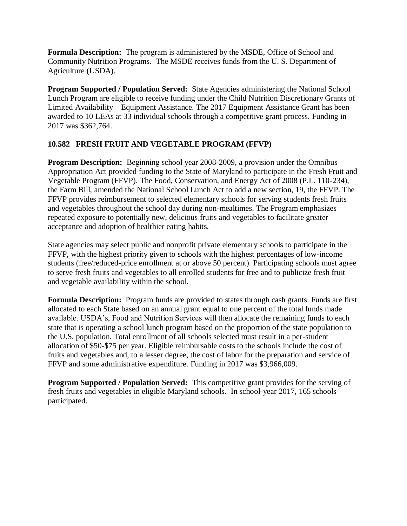**Formula Description:** The program is administered by the MSDE, Office of School and Community Nutrition Programs. The MSDE receives funds from the U. S. Department of Agriculture (USDA).

**Program Supported / Population Served:** State Agencies administering the National School Lunch Program are eligible to receive funding under the Child Nutrition Discretionary Grants of Limited Availability – Equipment Assistance. The 2017 Equipment Assistance Grant has been awarded to 10 LEAs at 33 individual schools through a competitive grant process. Funding in 2017 was \$362,764.

### **10.582 FRESH FRUIT AND VEGETABLE PROGRAM (FFVP)**

**Program Description:** Beginning school year 2008-2009, a provision under the Omnibus Appropriation Act provided funding to the State of Maryland to participate in the Fresh Fruit and Vegetable Program (FFVP). The Food, Conservation, and Energy Act of 2008 (P.L. 110-234), the Farm Bill, amended the National School Lunch Act to add a new section, 19, the FFVP. The FFVP provides reimbursement to selected elementary schools for serving students fresh fruits and vegetables throughout the school day during non-mealtimes. The Program emphasizes repeated exposure to potentially new, delicious fruits and vegetables to facilitate greater acceptance and adoption of healthier eating habits.

State agencies may select public and nonprofit private elementary schools to participate in the FFVP, with the highest priority given to schools with the highest percentages of low-income students (free/reduced-price enrollment at or above 50 percent). Participating schools must agree to serve fresh fruits and vegetables to all enrolled students for free and to publicize fresh fruit and vegetable availability within the school.

**Formula Description:** Program funds are provided to states through cash grants. Funds are first allocated to each State based on an annual grant equal to one percent of the total funds made available. USDA's, Food and Nutrition Services will then allocate the remaining funds to each state that is operating a school lunch program based on the proportion of the state population to the U.S. population. Total enrollment of all schools selected must result in a per-student allocation of \$50-\$75 per year. Eligible reimbursable costs to the schools include the cost of fruits and vegetables and, to a lesser degree, the cost of labor for the preparation and service of FFVP and some administrative expenditure. Funding in 2017 was \$3,966,009.

**Program Supported / Population Served:** This competitive grant provides for the serving of fresh fruits and vegetables in eligible Maryland schools. In school-year 2017, 165 schools participated.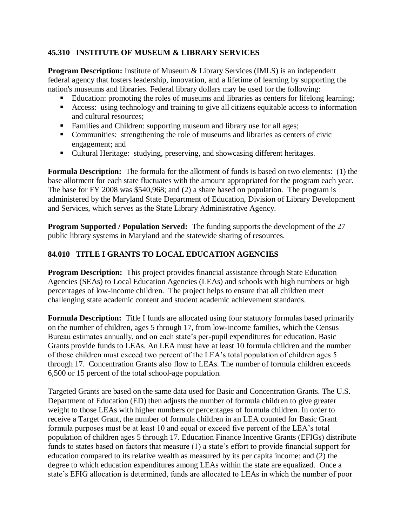### **45.310 INSTITUTE OF MUSEUM & LIBRARY SERVICES**

**Program Description:** Institute of Museum & Library Services (IMLS) is an independent federal agency that fosters leadership, innovation, and a lifetime of learning by supporting the nation's museums and libraries. Federal library dollars may be used for the following:

- Education: promoting the roles of museums and libraries as centers for lifelong learning;
- Access: using technology and training to give all citizens equitable access to information and cultural resources;
- Families and Children: supporting museum and library use for all ages;
- Communities: strengthening the role of museums and libraries as centers of civic engagement; and
- Cultural Heritage: studying, preserving, and showcasing different heritages.

**Formula Description:** The formula for the allotment of funds is based on two elements: (1) the base allotment for each state fluctuates with the amount appropriated for the program each year. The base for FY 2008 was \$540,968; and (2) a share based on population. The program is administered by the Maryland State Department of Education, Division of Library Development and Services, which serves as the State Library Administrative Agency.

**Program Supported / Population Served:** The funding supports the development of the 27 public library systems in Maryland and the statewide sharing of resources.

### **84.010 TITLE I GRANTS TO LOCAL EDUCATION AGENCIES**

**Program Description:** This project provides financial assistance through State Education Agencies (SEAs) to Local Education Agencies (LEAs) and schools with high numbers or high percentages of low-income children. The project helps to ensure that all children meet challenging state academic content and student academic achievement standards.

**Formula Description:** Title I funds are allocated using four statutory formulas based primarily on the number of children, ages 5 through 17, from low-income families, which the Census Bureau estimates annually, and on each state's per-pupil expenditures for education. Basic Grants provide funds to LEAs. An LEA must have at least 10 formula children and the number of those children must exceed two percent of the LEA's total population of children ages 5 through 17. Concentration Grants also flow to LEAs. The number of formula children exceeds 6,500 or 15 percent of the total school-age population.

Targeted Grants are based on the same data used for Basic and Concentration Grants. The U.S. Department of Education (ED) then adjusts the number of formula children to give greater weight to those LEAs with higher numbers or percentages of formula children. In order to receive a Target Grant, the number of formula children in an LEA counted for Basic Grant formula purposes must be at least 10 and equal or exceed five percent of the LEA's total population of children ages 5 through 17. Education Finance Incentive Grants (EFIGs) distribute funds to states based on factors that measure (1) a state's effort to provide financial support for education compared to its relative wealth as measured by its per capita income; and (2) the degree to which education expenditures among LEAs within the state are equalized. Once a state's EFIG allocation is determined, funds are allocated to LEAs in which the number of poor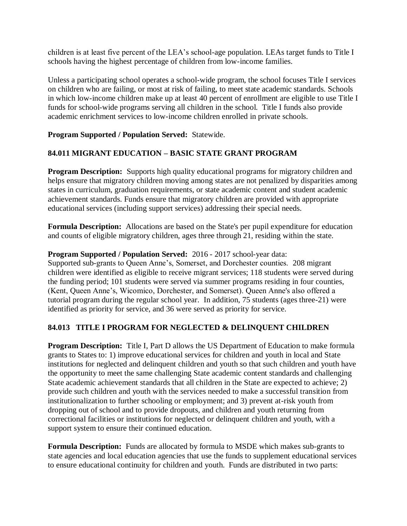children is at least five percent of the LEA's school-age population. LEAs target funds to Title I schools having the highest percentage of children from low-income families.

Unless a participating school operates a school-wide program, the school focuses Title I services on children who are failing, or most at risk of failing, to meet state academic standards. Schools in which low-income children make up at least 40 percent of enrollment are eligible to use Title I funds for school-wide programs serving all children in the school. Title I funds also provide academic enrichment services to low-income children enrolled in private schools.

### **Program Supported / Population Served:** Statewide.

### **84.011 MIGRANT EDUCATION – BASIC STATE GRANT PROGRAM**

**Program Description:** Supports high quality educational programs for migratory children and helps ensure that migratory children moving among states are not penalized by disparities among states in curriculum, graduation requirements, or state academic content and student academic achievement standards. Funds ensure that migratory children are provided with appropriate educational services (including support services) addressing their special needs.

**Formula Description:** Allocations are based on the State's per pupil expenditure for education and counts of eligible migratory children, ages three through 21, residing within the state.

### **Program Supported / Population Served:** 2016 - 2017 school-year data:

Supported sub-grants to Queen Anne's, Somerset, and Dorchester counties. 208 migrant children were identified as eligible to receive migrant services; 118 students were served during the funding period; 101 students were served via summer programs residing in four counties, (Kent, Queen Anne's, Wicomico, Dorchester, and Somerset). Queen Anne's also offered a tutorial program during the regular school year. In addition, 75 students (ages three-21) were identified as priority for service, and 36 were served as priority for service.

#### **84.013 TITLE I PROGRAM FOR NEGLECTED & DELINQUENT CHILDREN**

**Program Description:** Title I, Part D allows the US Department of Education to make formula grants to States to: 1) improve educational services for children and youth in local and State institutions for neglected and delinquent children and youth so that such children and youth have the opportunity to meet the same challenging State academic content standards and challenging State academic achievement standards that all children in the State are expected to achieve; 2) provide such children and youth with the services needed to make a successful transition from institutionalization to further schooling or employment; and 3) prevent at-risk youth from dropping out of school and to provide dropouts, and children and youth returning from correctional facilities or institutions for neglected or delinquent children and youth, with a support system to ensure their continued education.

**Formula Description:** Funds are allocated by formula to MSDE which makes sub-grants to state agencies and local education agencies that use the funds to supplement educational services to ensure educational continuity for children and youth. Funds are distributed in two parts: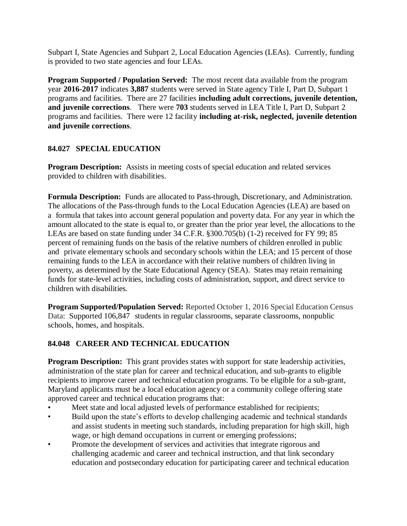Subpart I, State Agencies and Subpart 2, Local Education Agencies (LEAs). Currently, funding is provided to two state agencies and four LEAs.

**Program Supported / Population Served:** The most recent data available from the program year **2016-2017** indicates **3,887** students were served in State agency Title I, Part D, Subpart 1 programs and facilities. There are 27 facilities **including adult corrections, juvenile detention, and juvenile corrections**. There were **703** students served in LEA Title I, Part D, Subpart 2 programs and facilities. There were 12 facility **including at-risk, neglected, juvenile detention and juvenile corrections**.

#### **84.027 SPECIAL EDUCATION**

**Program Description:** Assists in meeting costs of special education and related services provided to children with disabilities.

**Formula Description:** Funds are allocated to Pass-through, Discretionary, and Administration. The allocations of the Pass-through funds to the Local Education Agencies (LEA) are based on a formula that takes into account general population and poverty data. For any year in which the amount allocated to the state is equal to, or greater than the prior year level, the allocations to the LEAs are based on state funding under 34 C.F.R. §300.705(b) (1-2) received for FY 99; 85 percent of remaining funds on the basis of the relative numbers of children enrolled in public and private elementary schools and secondary schools within the LEA; and 15 percent of those remaining funds to the LEA in accordance with their relative numbers of children living in poverty, as determined by the State Educational Agency (SEA). States may retain remaining funds for state-level activities, including costs of administration, support, and direct service to children with disabilities.

**Program Supported/Population Served:** Reported October 1, 2016 Special Education Census Data: Supported 106,847 students in regular classrooms, separate classrooms, nonpublic schools, homes, and hospitals.

### **84.048 CAREER AND TECHNICAL EDUCATION**

**Program Description:** This grant provides states with support for state leadership activities, administration of the state plan for career and technical education, and sub-grants to eligible recipients to improve career and technical education programs. To be eligible for a sub-grant, Maryland applicants must be a local education agency or a community college offering state approved career and technical education programs that:

- Meet state and local adjusted levels of performance established for recipients;
- Build upon the state's efforts to develop challenging academic and technical standards and assist students in meeting such standards, including preparation for high skill, high wage, or high demand occupations in current or emerging professions;
- Promote the development of services and activities that integrate rigorous and challenging academic and career and technical instruction, and that link secondary education and postsecondary education for participating career and technical education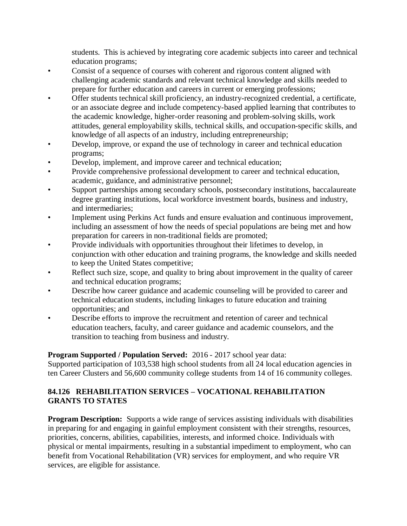students. This is achieved by integrating core academic subjects into career and technical education programs;

- Consist of a sequence of courses with coherent and rigorous content aligned with challenging academic standards and relevant technical knowledge and skills needed to prepare for further education and careers in current or emerging professions;
- Offer students technical skill proficiency, an industry-recognized credential, a certificate, or an associate degree and include competency-based applied learning that contributes to the academic knowledge, higher-order reasoning and problem-solving skills, work attitudes, general employability skills, technical skills, and occupation-specific skills, and knowledge of all aspects of an industry, including entrepreneurship;
- Develop, improve, or expand the use of technology in career and technical education programs;
- Develop, implement, and improve career and technical education;
- Provide comprehensive professional development to career and technical education, academic, guidance, and administrative personnel;
- Support partnerships among secondary schools, postsecondary institutions, baccalaureate degree granting institutions, local workforce investment boards, business and industry, and intermediaries;
- Implement using Perkins Act funds and ensure evaluation and continuous improvement, including an assessment of how the needs of special populations are being met and how preparation for careers in non-traditional fields are promoted;
- Provide individuals with opportunities throughout their lifetimes to develop, in conjunction with other education and training programs, the knowledge and skills needed to keep the United States competitive;
- Reflect such size, scope, and quality to bring about improvement in the quality of career and technical education programs;
- Describe how career guidance and academic counseling will be provided to career and technical education students, including linkages to future education and training opportunities; and
- Describe efforts to improve the recruitment and retention of career and technical education teachers, faculty, and career guidance and academic counselors, and the transition to teaching from business and industry.

#### **Program Supported / Population Served:** 2016 - 2017 school year data:

Supported participation of 103,538 high school students from all 24 local education agencies in ten Career Clusters and 56,600 community college students from 14 of 16 community colleges.

### **84.126 REHABILITATION SERVICES – VOCATIONAL REHABILITATION GRANTS TO STATES**

**Program Description:** Supports a wide range of services assisting individuals with disabilities in preparing for and engaging in gainful employment consistent with their strengths, resources, priorities, concerns, abilities, capabilities, interests, and informed choice. Individuals with physical or mental impairments, resulting in a substantial impediment to employment, who can benefit from Vocational Rehabilitation (VR) services for employment, and who require VR services, are eligible for assistance.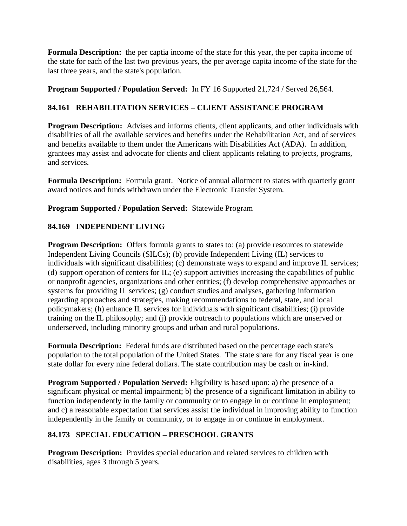**Formula Description:** the per captia income of the state for this year, the per capita income of the state for each of the last two previous years, the per average capita income of the state for the last three years, and the state's population.

### **Program Supported / Population Served:** In FY 16 Supported 21,724 / Served 26,564.

### **84.161 REHABILITATION SERVICES – CLIENT ASSISTANCE PROGRAM**

**Program Description:** Advises and informs clients, client applicants, and other individuals with disabilities of all the available services and benefits under the Rehabilitation Act, and of services and benefits available to them under the Americans with Disabilities Act (ADA). In addition, grantees may assist and advocate for clients and client applicants relating to projects, programs, and services.

**Formula Description:** Formula grant. Notice of annual allotment to states with quarterly grant award notices and funds withdrawn under the Electronic Transfer System.

### **Program Supported / Population Served:** Statewide Program

### **84.169 INDEPENDENT LIVING**

**Program Description:** Offers formula grants to states to: (a) provide resources to statewide Independent Living Councils (SILCs); (b) provide Independent Living (IL) services to individuals with significant disabilities; (c) demonstrate ways to expand and improve IL services; (d) support operation of centers for IL; (e) support activities increasing the capabilities of public or nonprofit agencies, organizations and other entities; (f) develop comprehensive approaches or systems for providing IL services; (g) conduct studies and analyses, gathering information regarding approaches and strategies, making recommendations to federal, state, and local policymakers; (h) enhance IL services for individuals with significant disabilities; (i) provide training on the IL philosophy; and (j) provide outreach to populations which are unserved or underserved, including minority groups and urban and rural populations.

**Formula Description:** Federal funds are distributed based on the percentage each state's population to the total population of the United States. The state share for any fiscal year is one state dollar for every nine federal dollars. The state contribution may be cash or in-kind.

**Program Supported / Population Served:** Eligibility is based upon: a) the presence of a significant physical or mental impairment; b) the presence of a significant limitation in ability to function independently in the family or community or to engage in or continue in employment; and c) a reasonable expectation that services assist the individual in improving ability to function independently in the family or community, or to engage in or continue in employment.

### **84.173 SPECIAL EDUCATION – PRESCHOOL GRANTS**

**Program Description:** Provides special education and related services to children with disabilities, ages 3 through 5 years.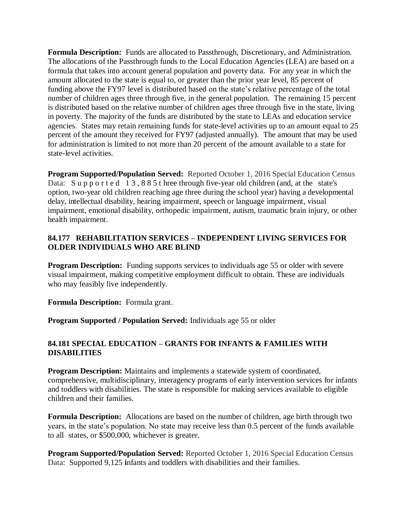**Formula Description:** Funds are allocated to Passthrough, Discretionary, and Administration. The allocations of the Passthrough funds to the Local Education Agencies (LEA) are based on a formula that takes into account general population and poverty data. For any year in which the amount allocated to the state is equal to, or greater than the prior year level, 85 percent of funding above the FY97 level is distributed based on the state's relative percentage of the total number of children ages three through five, in the general population. The remaining 15 percent is distributed based on the relative number of children ages three through five in the state, living in poverty. The majority of the funds are distributed by the state to LEAs and education service agencies. States may retain remaining funds for state-level activities up to an amount equal to 25 percent of the amount they received for FY97 (adjusted annually). The amount that may be used for administration is limited to not more than 20 percent of the amount available to a state for state-level activities.

**Program Supported/Population Served:** Reported October 1, 2016 Special Education Census Data: Supported 13,885 t hree through five-year old children (and, at the state's option, two-year old children reaching age three during the school year) having a developmental delay, intellectual disability, hearing impairment, speech or language impairment, visual impairment, emotional disability, orthopedic impairment, autism, traumatic brain injury, or other health impairment.

### **84.177 REHABILITATION SERVICES – INDEPENDENT LIVING SERVICES FOR OLDER INDIVIDUALS WHO ARE BLIND**

**Program Description:** Funding supports services to individuals age 55 or older with severe visual impairment, making competitive employment difficult to obtain. These are individuals who may feasibly live independently.

**Formula Description:** Formula grant.

**Program Supported / Population Served:** Individuals age 55 or older

### **84.181 SPECIAL EDUCATION – GRANTS FOR INFANTS & FAMILIES WITH DISABILITIES**

**Program Description:** Maintains and implements a statewide system of coordinated, comprehensive, multidisciplinary, interagency programs of early intervention services for infants and toddlers with disabilities. The state is responsible for making services available to eligible children and their families.

**Formula Description:** Allocations are based on the number of children, age birth through two years, in the state's population. No state may receive less than 0.5 percent of the funds available to all states, or \$500,000, whichever is greater.

**Program Supported/Population Served:** Reported October 1, 2016 Special Education Census Data: Supported 9,125 **i**nfants and toddlers with disabilities and their families.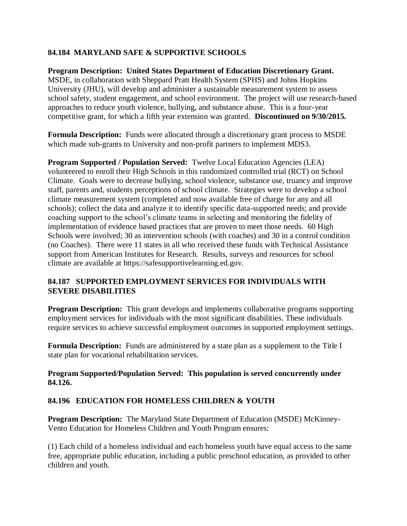### **84.184 MARYLAND SAFE & SUPPORTIVE SCHOOLS**

**Program Description: United States Department of Education Discretionary Grant.**  MSDE, in collaboration with Sheppard Pratt Health System (SPHS) and Johns Hopkins University (JHU), will develop and administer a sustainable measurement system to assess school safety, student engagement, and school environment. The project will use research-based approaches to reduce youth violence, bullying, and substance abuse. This is a four-year competitive grant, for which a fifth year extension was granted. **Discontinued on 9/30/2015.**

**Formula Description:** Funds were allocated through a discretionary grant process to MSDE which made sub-grants to University and non-profit partners to implement MDS3.

**Program Supported / Population Served:** Twelve Local Education Agencies (LEA) volunteered to enroll their High Schools in this randomized controlled trial (RCT) on School Climate. Goals were to decrease bullying, school violence, substance use, truancy and improve staff, parents and, students perceptions of school climate. Strategies were to develop a school climate measurement system (completed and now available free of charge for any and all schools); collect the data and analyze it to identify specific data-supported needs; and provide coaching support to the school's climate teams in selecting and monitoring the fidelity of implementation of evidence based practices that are proven to meet those needs. 60 High Schools were involved; 30 as intervention schools (with coaches) and 30 in a control condition (no Coaches). There were 11 states in all who received these funds with Technical Assistance support from American Institutes for Research. Results, surveys and resources for school climate are available at https://safesupportivelearning.ed.gov.

#### **84.187 SUPPORTED EMPLOYMENT SERVICES FOR INDIVIDUALS WITH SEVERE DISABILITIES**

**Program Description:** This grant develops and implements collaborative programs supporting employment services for individuals with the most significant disabilities. These individuals require services to achieve successful employment outcomes in supported employment settings.

**Formula Description:** Funds are administered by a state plan as a supplement to the Title I state plan for vocational rehabilitation services.

#### **Program Supported/Population Served: This population is served concurrently under 84.126.**

#### **84.196 EDUCATION FOR HOMELESS CHILDREN & YOUTH**

**Program Description:** The Maryland State Department of Education (MSDE) McKinney-Vento Education for Homeless Children and Youth Program ensures:

(1) Each child of a homeless individual and each homeless youth have equal access to the same free, appropriate public education, including a public preschool education, as provided to other children and youth.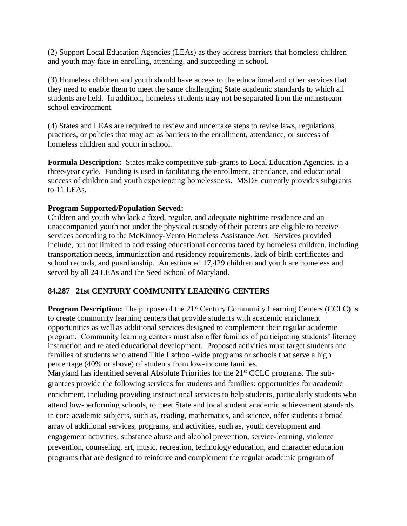(2) Support Local Education Agencies (LEAs) as they address barriers that homeless children and youth may face in enrolling, attending, and succeeding in school.

(3) Homeless children and youth should have access to the educational and other services that they need to enable them to meet the same challenging State academic standards to which all students are held. In addition, homeless students may not be separated from the mainstream school environment.

(4) States and LEAs are required to review and undertake steps to revise laws, regulations, practices, or policies that may act as barriers to the enrollment, attendance, or success of homeless children and youth in school.

**Formula Description:** States make competitive sub-grants to Local Education Agencies, in a three-year cycle. Funding is used in facilitating the enrollment, attendance, and educational success of children and youth experiencing homelessness. MSDE currently provides subgrants to 11 LEAs.

#### **Program Supported/Population Served:**

Children and youth who lack a fixed, regular, and adequate nighttime residence and an unaccompanied youth not under the physical custody of their parents are eligible to receive services according to the McKinney-Vento Homeless Assistance Act. Services provided include, but not limited to addressing educational concerns faced by homeless children, including transportation needs, immunization and residency requirements, lack of birth certificates and school records, and guardianship. An estimated 17,429 children and youth are homeless and served by all 24 LEAs and the Seed School of Maryland.

#### **84.287 21st CENTURY COMMUNITY LEARNING CENTERS**

**Program Description:** The purpose of the 21<sup>st</sup> Century Community Learning Centers (CCLC) is to create community learning centers that provide students with academic enrichment opportunities as well as additional services designed to complement their regular academic program. Community learning centers must also offer families of participating students' literacy instruction and related educational development. Proposed activities must target students and families of students who attend Title I school-wide programs or schools that serve a high percentage (40% or above) of students from low-income families.

Maryland has identified several Absolute Priorities for the 21<sup>st</sup> CCLC programs. The subgrantees provide the following services for students and families: opportunities for academic enrichment, including providing instructional services to help students, particularly students who attend low-performing schools, to meet State and local student academic achievement standards in core academic subjects, such as, reading, mathematics, and science, offer students a broad array of additional services, programs, and activities, such as, youth development and engagement activities, substance abuse and alcohol prevention, service-learning, violence prevention, counseling, art, music, recreation, technology education, and character education programs that are designed to reinforce and complement the regular academic program of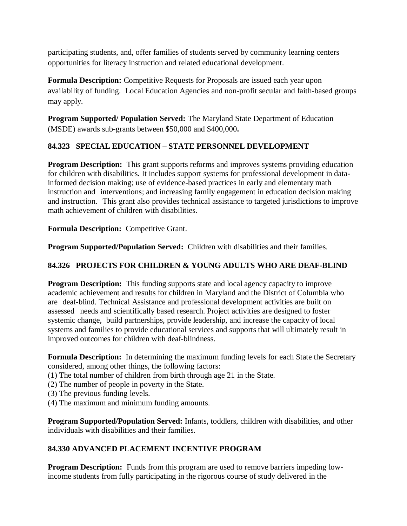participating students, and, offer families of students served by community learning centers opportunities for literacy instruction and related educational development.

**Formula Description:** Competitive Requests for Proposals are issued each year upon availability of funding. Local Education Agencies and non-profit secular and faith-based groups may apply.

**Program Supported/ Population Served:** The Maryland State Department of Education (MSDE) awards sub-grants between \$50,000 and \$400,000**.**

## **84.323 SPECIAL EDUCATION – STATE PERSONNEL DEVELOPMENT**

**Program Description:** This grant supports reforms and improves systems providing education for children with disabilities. It includes support systems for professional development in datainformed decision making; use of evidence-based practices in early and elementary math instruction and interventions; and increasing family engagement in education decision making and instruction. This grant also provides technical assistance to targeted jurisdictions to improve math achievement of children with disabilities.

**Formula Description:** Competitive Grant.

**Program Supported/Population Served:** Children with disabilities and their families.

### **84.326 PROJECTS FOR CHILDREN & YOUNG ADULTS WHO ARE DEAF-BLIND**

**Program Description:** This funding supports state and local agency capacity to improve academic achievement and results for children in Maryland and the District of Columbia who are deaf-blind. Technical Assistance and professional development activities are built on assessed needs and scientifically based research. Project activities are designed to foster systemic change, build partnerships, provide leadership, and increase the capacity of local systems and families to provide educational services and supports that will ultimately result in improved outcomes for children with deaf-blindness.

**Formula Description:** In determining the maximum funding levels for each State the Secretary considered, among other things, the following factors:

- (1) The total number of children from birth through age 21 in the State.
- (2) The number of people in poverty in the State.
- (3) The previous funding levels.
- (4) The maximum and minimum funding amounts.

**Program Supported/Population Served:** Infants, toddlers, children with disabilities, and other individuals with disabilities and their families.

### **84.330 ADVANCED PLACEMENT INCENTIVE PROGRAM**

**Program Description:** Funds from this program are used to remove barriers impeding lowincome students from fully participating in the rigorous course of study delivered in the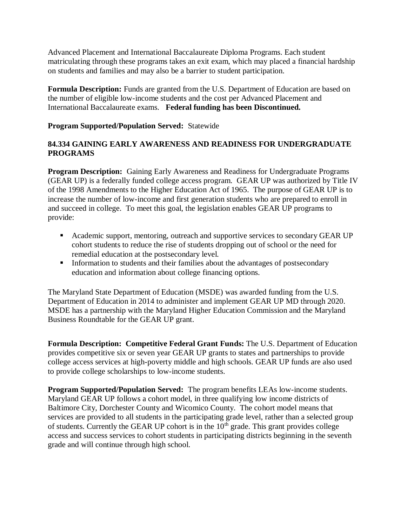Advanced Placement and International Baccalaureate Diploma Programs. Each student matriculating through these programs takes an exit exam, which may placed a financial hardship on students and families and may also be a barrier to student participation.

**Formula Description:** Funds are granted from the U.S. Department of Education are based on the number of eligible low-income students and the cost per Advanced Placement and International Baccalaureate exams. **Federal funding has been Discontinued.**

### **Program Supported/Population Served:** Statewide

#### **84.334 GAINING EARLY AWARENESS AND READINESS FOR UNDERGRADUATE PROGRAMS**

**Program Description:** Gaining Early Awareness and Readiness for Undergraduate Programs (GEAR UP) is a federally funded college access program. GEAR UP was authorized by Title IV of the 1998 Amendments to the Higher Education Act of 1965. The purpose of GEAR UP is to increase the number of low-income and first generation students who are prepared to enroll in and succeed in college. To meet this goal, the legislation enables GEAR UP programs to provide:

- Academic support, mentoring, outreach and supportive services to secondary GEAR UP cohort students to reduce the rise of students dropping out of school or the need for remedial education at the postsecondary level.
- Information to students and their families about the advantages of postsecondary education and information about college financing options.

The Maryland State Department of Education (MSDE) was awarded funding from the U.S. Department of Education in 2014 to administer and implement GEAR UP MD through 2020. MSDE has a partnership with the Maryland Higher Education Commission and the Maryland Business Roundtable for the GEAR UP grant.

**Formula Description: Competitive Federal Grant Funds:** The U.S. Department of Education provides competitive six or seven year GEAR UP grants to states and partnerships to provide college access services at high-poverty middle and high schools. GEAR UP funds are also used to provide college scholarships to low-income students.

**Program Supported/Population Served:** The program benefits LEAs low-income students. Maryland GEAR UP follows a cohort model, in three qualifying low income districts of Baltimore City, Dorchester County and Wicomico County. The cohort model means that services are provided to all students in the participating grade level, rather than a selected group of students. Currently the GEAR UP cohort is in the  $10<sup>th</sup>$  grade. This grant provides college access and success services to cohort students in participating districts beginning in the seventh grade and will continue through high school.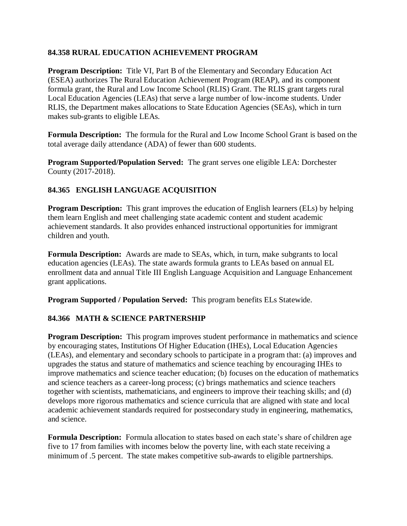### **84.358 RURAL EDUCATION ACHIEVEMENT PROGRAM**

**Program Description:** Title VI, Part B of the Elementary and Secondary Education Act (ESEA) authorizes The Rural Education Achievement Program (REAP), and its component formula grant, the Rural and Low Income School (RLIS) Grant. The RLIS grant targets rural Local Education Agencies (LEAs) that serve a large number of low-income students. Under RLIS, the Department makes allocations to State Education Agencies (SEAs), which in turn makes sub-grants to eligible LEAs.

**Formula Description:** The formula for the Rural and Low Income School Grant is based on the total average daily attendance (ADA) of fewer than 600 students.

**Program Supported/Population Served:** The grant serves one eligible LEA: Dorchester County (2017-2018).

### **84.365 ENGLISH LANGUAGE ACQUISITION**

**Program Description:** This grant improves the education of English learners (ELs) by helping them learn English and meet challenging state academic content and student academic achievement standards. It also provides enhanced instructional opportunities for immigrant children and youth.

**Formula Description:** Awards are made to SEAs, which, in turn, make subgrants to local education agencies (LEAs). The state awards formula grants to LEAs based on annual EL enrollment data and annual Title III English Language Acquisition and Language Enhancement grant applications.

**Program Supported / Population Served:** This program benefits ELs Statewide.

#### **84.366 MATH & SCIENCE PARTNERSHIP**

**Program Description:** This program improves student performance in mathematics and science by encouraging states, Institutions Of Higher Education (IHEs), Local Education Agencies (LEAs), and elementary and secondary schools to participate in a program that: (a) improves and upgrades the status and stature of mathematics and science teaching by encouraging IHEs to improve mathematics and science teacher education; (b) focuses on the education of mathematics and science teachers as a career-long process; (c) brings mathematics and science teachers together with scientists, mathematicians, and engineers to improve their teaching skills; and (d) develops more rigorous mathematics and science curricula that are aligned with state and local academic achievement standards required for postsecondary study in engineering, mathematics, and science.

**Formula Description:** Formula allocation to states based on each state's share of children age five to 17 from families with incomes below the poverty line, with each state receiving a minimum of .5 percent. The state makes competitive sub-awards to eligible partnerships.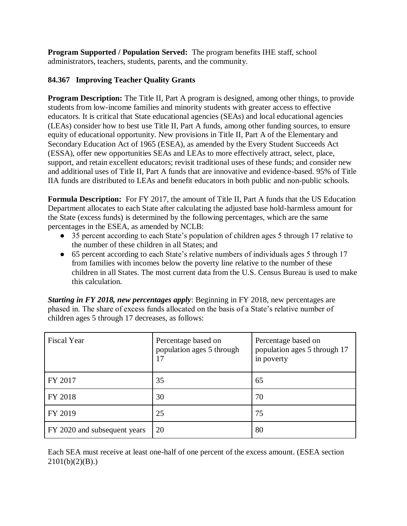**Program Supported / Population Served:** The program benefits IHE staff, school administrators, teachers, students, parents, and the community.

## **84.367 Improving Teacher Quality Grants**

**Program Description:** The Title II, Part A program is designed, among other things, to provide students from low-income families and minority students with greater access to effective educators. It is critical that State educational agencies (SEAs) and local educational agencies (LEAs) consider how to best use Title II, Part A funds, among other funding sources, to ensure equity of educational opportunity. New provisions in Title II, Part A of the Elementary and Secondary Education Act of 1965 (ESEA), as amended by the Every Student Succeeds Act (ESSA), offer new opportunities SEAs and LEAs to more effectively attract, select, place, support, and retain excellent educators; revisit traditional uses of these funds; and consider new and additional uses of Title II, Part A funds that are innovative and evidence-based. 95% of Title IIA funds are distributed to LEAs and benefit educators in both public and non-public schools.

**Formula Description:** For FY 2017, the amount of Title II, Part A funds that the US Education Department allocates to each State after calculating the adjusted base hold-harmless amount for the State (excess funds) is determined by the following percentages, which are the same percentages in the ESEA, as amended by NCLB:

- 35 percent according to each State's population of children ages 5 through 17 relative to the number of these children in all States; and
- 65 percent according to each State's relative numbers of individuals ages 5 through 17 from families with incomes below the poverty line relative to the number of these children in all States. The most current data from the U.S. Census Bureau is used to make this calculation.

*Starting in FY 2018, new percentages apply*: Beginning in FY 2018, new percentages are phased in. The share of excess funds allocated on the basis of a State's relative number of children ages 5 through 17 decreases, as follows:

| <b>Fiscal Year</b>           | Percentage based on<br>population ages 5 through<br>17 | Percentage based on<br>population ages 5 through 17<br>in poverty |
|------------------------------|--------------------------------------------------------|-------------------------------------------------------------------|
| FY 2017                      | 35                                                     | 65                                                                |
| FY 2018                      | 30                                                     | 70                                                                |
| FY 2019                      | 25                                                     | 75                                                                |
| FY 2020 and subsequent years | 20                                                     | 80                                                                |

Each SEA must receive at least one-half of one percent of the excess amount. (ESEA section  $2101(b)(2)(B)$ .)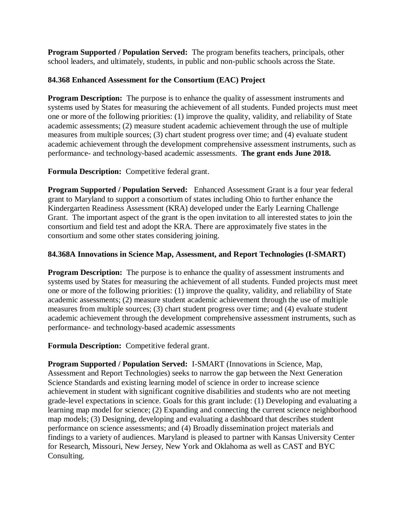**Program Supported / Population Served:** The program benefits teachers, principals, other school leaders, and ultimately, students, in public and non-public schools across the State.

### **84.368 Enhanced Assessment for the Consortium (EAC) Project**

**Program Description:** The purpose is to enhance the quality of assessment instruments and systems used by States for measuring the achievement of all students. Funded projects must meet one or more of the following priorities: (1) improve the quality, validity, and reliability of State academic assessments; (2) measure student academic achievement through the use of multiple measures from multiple sources; (3) chart student progress over time; and (4) evaluate student academic achievement through the development comprehensive assessment instruments, such as performance- and technology-based academic assessments. **The grant ends June 2018.**

**Formula Description:** Competitive federal grant.

**Program Supported / Population Served:** Enhanced Assessment Grant is a four year federal grant to Maryland to support a consortium of states including Ohio to further enhance the Kindergarten Readiness Assessment (KRA) developed under the Early Learning Challenge Grant. The important aspect of the grant is the open invitation to all interested states to join the consortium and field test and adopt the KRA. There are approximately five states in the consortium and some other states considering joining.

### **84.368A Innovations in Science Map, Assessment, and Report Technologies (I-SMART)**

**Program Description:** The purpose is to enhance the quality of assessment instruments and systems used by States for measuring the achievement of all students. Funded projects must meet one or more of the following priorities: (1) improve the quality, validity, and reliability of State academic assessments; (2) measure student academic achievement through the use of multiple measures from multiple sources; (3) chart student progress over time; and (4) evaluate student academic achievement through the development comprehensive assessment instruments, such as performance- and technology-based academic assessments

**Formula Description:** Competitive federal grant.

**Program Supported / Population Served:** I-SMART (Innovations in Science, Map, Assessment and Report Technologies) seeks to narrow the gap between the Next Generation Science Standards and existing learning model of science in order to increase science achievement in student with significant cognitive disabilities and students who are not meeting grade-level expectations in science. Goals for this grant include: (1) Developing and evaluating a learning map model for science; (2) Expanding and connecting the current science neighborhood map models; (3) Designing, developing and evaluating a dashboard that describes student performance on science assessments; and (4) Broadly dissemination project materials and findings to a variety of audiences. Maryland is pleased to partner with Kansas University Center for Research, Missouri, New Jersey, New York and Oklahoma as well as CAST and BYC Consulting.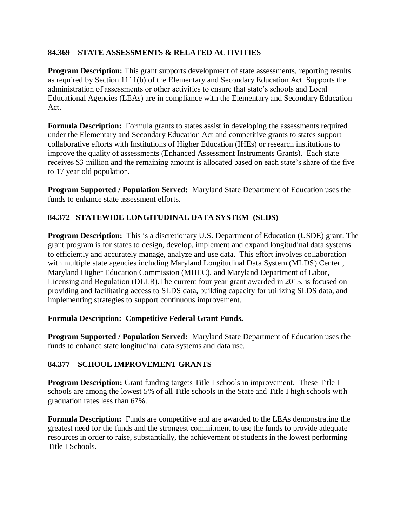### **84.369 STATE ASSESSMENTS & RELATED ACTIVITIES**

**Program Description:** This grant supports development of state assessments, reporting results as required by Section 1111(b) of the Elementary and Secondary Education Act. Supports the administration of assessments or other activities to ensure that state's schools and Local Educational Agencies (LEAs) are in compliance with the Elementary and Secondary Education Act.

**Formula Description:** Formula grants to states assist in developing the assessments required under the Elementary and Secondary Education Act and competitive grants to states support collaborative efforts with Institutions of Higher Education (IHEs) or research institutions to improve the quality of assessments (Enhanced Assessment Instruments Grants). Each state receives \$3 million and the remaining amount is allocated based on each state's share of the five to 17 year old population.

**Program Supported / Population Served:** Maryland State Department of Education uses the funds to enhance state assessment efforts.

### **84.372 STATEWIDE LONGITUDINAL DATA SYSTEM (SLDS)**

**Program Description:** This is a discretionary U.S. Department of Education (USDE) grant. The grant program is for states to design, develop, implement and expand longitudinal data systems to efficiently and accurately manage, analyze and use data. This effort involves collaboration with multiple state agencies including Maryland Longitudinal Data System (MLDS) Center , Maryland Higher Education Commission (MHEC), and Maryland Department of Labor, Licensing and Regulation (DLLR).The current four year grant awarded in 2015, is focused on providing and facilitating access to SLDS data, building capacity for utilizing SLDS data, and implementing strategies to support continuous improvement.

#### **Formula Description: Competitive Federal Grant Funds.**

**Program Supported / Population Served:** Maryland State Department of Education uses the funds to enhance state longitudinal data systems and data use.

#### **84.377 SCHOOL IMPROVEMENT GRANTS**

**Program Description:** Grant funding targets Title I schools in improvement. These Title I schools are among the lowest 5% of all Title schools in the State and Title I high schools with graduation rates less than 67%.

**Formula Description:** Funds are competitive and are awarded to the LEAs demonstrating the greatest need for the funds and the strongest commitment to use the funds to provide adequate resources in order to raise, substantially, the achievement of students in the lowest performing Title I Schools.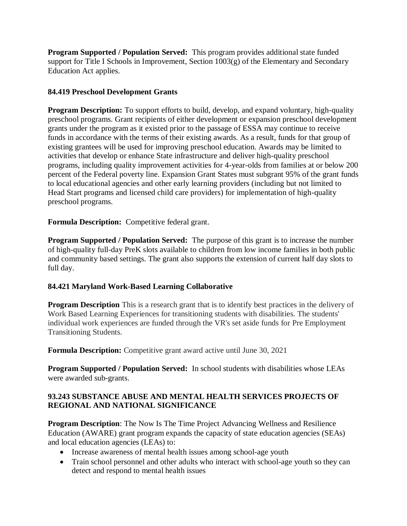**Program Supported / Population Served:** This program provides additional state funded support for Title I Schools in Improvement, Section 1003(g) of the Elementary and Secondary Education Act applies.

### **84.419 Preschool Development Grants**

**Program Description:** To support efforts to build, develop, and expand voluntary, high-quality preschool programs. Grant recipients of either development or expansion preschool development grants under the program as it existed prior to the passage of ESSA may continue to receive funds in accordance with the terms of their existing awards. As a result, funds for that group of existing grantees will be used for improving preschool education. Awards may be limited to activities that develop or enhance State infrastructure and deliver high-quality preschool programs, including quality improvement activities for 4-year-olds from families at or below 200 percent of the Federal poverty line. Expansion Grant States must subgrant 95% of the grant funds to local educational agencies and other early learning providers (including but not limited to Head Start programs and licensed child care providers) for implementation of high-quality preschool programs.

**Formula Description:** Competitive federal grant.

**Program Supported / Population Served:** The purpose of this grant is to increase the number of high-quality full-day PreK slots available to children from low income families in both public and community based settings. The grant also supports the extension of current half day slots to full day.

### **84.421 Maryland Work-Based Learning Collaborative**

**Program Description** This is a research grant that is to identify best practices in the delivery of Work Based Learning Experiences for transitioning students with disabilities. The students' individual work experiences are funded through the VR's set aside funds for Pre Employment Transitioning Students.

**Formula Description:** Competitive grant award active until June 30, 2021

**Program Supported / Population Served:** In school students with disabilities whose LEAs were awarded sub-grants.

### **93.243 SUBSTANCE ABUSE AND MENTAL HEALTH SERVICES PROJECTS OF REGIONAL AND NATIONAL SIGNIFICANCE**

**Program Description**: The Now Is The Time Project Advancing Wellness and Resilience Education (AWARE) grant program expands the capacity of state education agencies (SEAs) and local education agencies (LEAs) to:

- Increase awareness of mental health issues among school-age youth
- Train school personnel and other adults who interact with school-age youth so they can detect and respond to mental health issues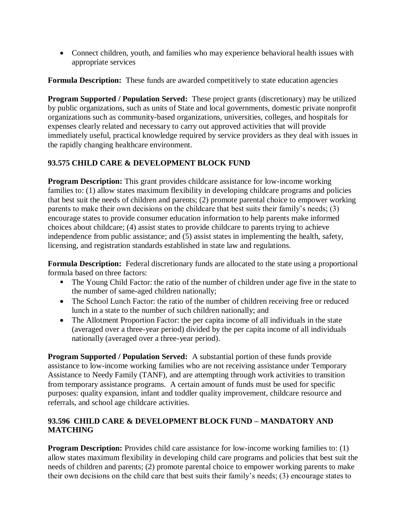• Connect children, youth, and families who may experience behavioral health issues with appropriate services

**Formula Description:** These funds are awarded competitively to state education agencies

**Program Supported / Population Served:** These project grants (discretionary) may be utilized by public organizations, such as units of State and local governments, domestic private nonprofit organizations such as community-based organizations, universities, colleges, and hospitals for expenses clearly related and necessary to carry out approved activities that will provide immediately useful, practical knowledge required by service providers as they deal with issues in the rapidly changing healthcare environment.

### **93.575 CHILD CARE & DEVELOPMENT BLOCK FUND**

**Program Description:** This grant provides childcare assistance for low-income working families to: (1) allow states maximum flexibility in developing childcare programs and policies that best suit the needs of children and parents; (2) promote parental choice to empower working parents to make their own decisions on the childcare that best suits their family's needs; (3) encourage states to provide consumer education information to help parents make informed choices about childcare; (4) assist states to provide childcare to parents trying to achieve independence from public assistance; and (5) assist states in implementing the health, safety, licensing, and registration standards established in state law and regulations.

**Formula Description:** Federal discretionary funds are allocated to the state using a proportional formula based on three factors:

- The Young Child Factor: the ratio of the number of children under age five in the state to the number of same-aged children nationally;
- The School Lunch Factor: the ratio of the number of children receiving free or reduced lunch in a state to the number of such children nationally; and
- The Allotment Proportion Factor: the per capita income of all individuals in the state (averaged over a three-year period) divided by the per capita income of all individuals nationally (averaged over a three-year period).

**Program Supported / Population Served:** A substantial portion of these funds provide assistance to low-income working families who are not receiving assistance under Temporary Assistance to Needy Family (TANF), and are attempting through work activities to transition from temporary assistance programs. A certain amount of funds must be used for specific purposes: quality expansion, infant and toddler quality improvement, childcare resource and referrals, and school age childcare activities.

#### **93.596 CHILD CARE & DEVELOPMENT BLOCK FUND – MANDATORY AND MATCHING**

**Program Description:** Provides child care assistance for low-income working families to: (1) allow states maximum flexibility in developing child care programs and policies that best suit the needs of children and parents; (2) promote parental choice to empower working parents to make their own decisions on the child care that best suits their family's needs; (3) encourage states to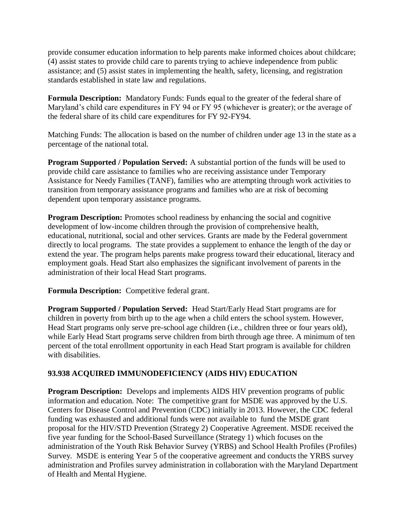provide consumer education information to help parents make informed choices about childcare; (4) assist states to provide child care to parents trying to achieve independence from public assistance; and (5) assist states in implementing the health, safety, licensing, and registration standards established in state law and regulations.

**Formula Description:** Mandatory Funds: Funds equal to the greater of the federal share of Maryland's child care expenditures in FY 94 or FY 95 (whichever is greater); or the average of the federal share of its child care expenditures for FY 92-FY94.

Matching Funds: The allocation is based on the number of children under age 13 in the state as a percentage of the national total.

**Program Supported / Population Served:** A substantial portion of the funds will be used to provide child care assistance to families who are receiving assistance under Temporary Assistance for Needy Families (TANF), families who are attempting through work activities to transition from temporary assistance programs and families who are at risk of becoming dependent upon temporary assistance programs.

**Program Description:** Promotes school readiness by enhancing the social and cognitive development of low-income children through the provision of comprehensive health, educational, nutritional, social and other services. Grants are made by the Federal government directly to local programs. The state provides a supplement to enhance the length of the day or extend the year. The program helps parents make progress toward their educational, literacy and employment goals. Head Start also emphasizes the significant involvement of parents in the administration of their local Head Start programs.

**Formula Description:** Competitive federal grant.

**Program Supported / Population Served:** Head Start/Early Head Start programs are for children in poverty from birth up to the age when a child enters the school system. However, Head Start programs only serve pre-school age children (i.e., children three or four years old), while Early Head Start programs serve children from birth through age three. A minimum of ten percent of the total enrollment opportunity in each Head Start program is available for children with disabilities.

#### **93.938 ACQUIRED IMMUNODEFICIENCY (AIDS HIV) EDUCATION**

**Program Description:** Develops and implements AIDS HIV prevention programs of public information and education. Note: The competitive grant for MSDE was approved by the U.S. Centers for Disease Control and Prevention (CDC) initially in 2013. However, the CDC federal funding was exhausted and additional funds were not available to fund the MSDE grant proposal for the HIV/STD Prevention (Strategy 2) Cooperative Agreement. MSDE received the five year funding for the School-Based Surveillance (Strategy 1) which focuses on the administration of the Youth Risk Behavior Survey (YRBS) and School Health Profiles (Profiles) Survey. MSDE is entering Year 5 of the cooperative agreement and conducts the YRBS survey administration and Profiles survey administration in collaboration with the Maryland Department of Health and Mental Hygiene.